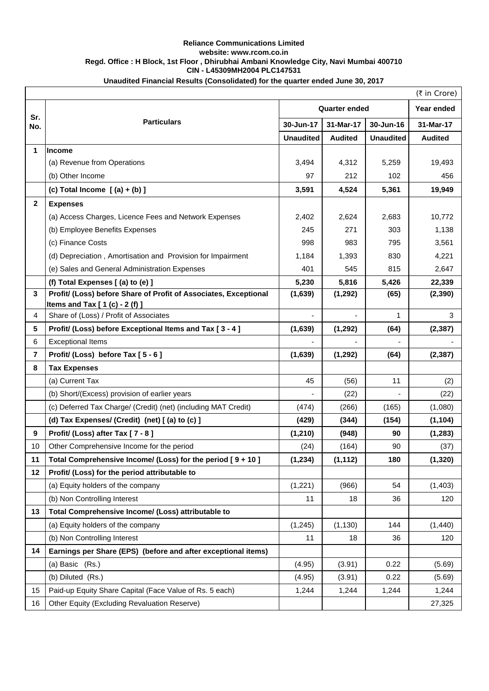## **Reliance Communications Limited website: www.rcom.co.in Regd. Office : H Block, 1st Floor , Dhirubhai Ambani Knowledge City, Navi Mumbai 400710 CIN - L45309MH2004 PLC147531**

| Unaudited Financial Results (Consolidated) for the quarter ended June 30, 2017 |  |  |
|--------------------------------------------------------------------------------|--|--|
|--------------------------------------------------------------------------------|--|--|

|              |                                                                  |                      |                |                  | (₹ in Crore)   |
|--------------|------------------------------------------------------------------|----------------------|----------------|------------------|----------------|
| Sr.          | <b>Particulars</b>                                               | <b>Quarter ended</b> |                |                  | Year ended     |
| No.          |                                                                  | 30-Jun-17            | 31-Mar-17      | 30-Jun-16        | 31-Mar-17      |
|              |                                                                  | <b>Unaudited</b>     | <b>Audited</b> | <b>Unaudited</b> | <b>Audited</b> |
| 1            | <b>Income</b>                                                    |                      |                |                  |                |
|              | (a) Revenue from Operations                                      | 3,494                | 4,312          | 5,259            | 19,493         |
|              | (b) Other Income                                                 | 97                   | 212            | 102              | 456            |
|              | (c) Total Income $(a) + (b)$ ]                                   | 3,591                | 4,524          | 5,361            | 19,949         |
| $\mathbf{2}$ | <b>Expenses</b>                                                  |                      |                |                  |                |
|              | (a) Access Charges, Licence Fees and Network Expenses            | 2,402                | 2,624          | 2,683            | 10,772         |
|              | (b) Employee Benefits Expenses                                   |                      | 271            | 303              | 1,138          |
|              | (c) Finance Costs                                                |                      | 983            | 795              | 3,561          |
|              | (d) Depreciation, Amortisation and Provision for Impairment      | 1,184                | 1,393          | 830              | 4,221          |
|              | (e) Sales and General Administration Expenses                    | 401                  | 545            | 815              | 2,647          |
|              | (f) Total Expenses $(a)$ to $(e)$ ]                              | 5,230                | 5,816          | 5,426            | 22,339         |
| 3            | Profit/ (Loss) before Share of Profit of Associates, Exceptional | (1,639)              | (1, 292)       | (65)             | (2, 390)       |
| 4            | Items and Tax [ 1 (c) - 2 (f) ]                                  |                      |                | 1                | 3              |
|              | Share of (Loss) / Profit of Associates                           |                      |                |                  |                |
| 5            | Profit/ (Loss) before Exceptional Items and Tax [3 - 4]          | (1,639)              | (1, 292)       | (64)             | (2, 387)       |
| 6            | <b>Exceptional Items</b>                                         |                      |                |                  |                |
| 7<br>8       | Profit/ (Loss) before Tax [5 - 6]                                | (1,639)              | (1, 292)       | (64)             | (2, 387)       |
|              | <b>Tax Expenses</b><br>(a) Current Tax                           | 45                   |                | 11               |                |
|              |                                                                  |                      | (56)           |                  | (2)            |
|              | (b) Short/(Excess) provision of earlier years                    |                      | (22)           |                  | (22)           |
|              | (c) Deferred Tax Charge/ (Credit) (net) (including MAT Credit)   | (474)                | (266)          | (165)            | (1,080)        |
|              | (d) Tax Expenses/ (Credit) (net) [(a) to (c) ]                   | (429)                | (344)          | (154)            | (1, 104)       |
| 9            | Profit/ (Loss) after Tax [7 - 8]                                 | (1, 210)             | (948)          | 90               | (1, 283)       |
| 10           | Other Comprehensive Income for the period                        | (24)                 | (164)          | 90               | (37)           |
| 11           | Total Comprehensive Income/ (Loss) for the period [9 + 10]       | (1, 234)             | (1, 112)       | 180              | (1, 320)       |
| 12           | Profit/ (Loss) for the period attributable to                    |                      |                |                  |                |
|              | (a) Equity holders of the company                                | (1,221)              | (966)          | 54               | (1, 403)       |
|              | (b) Non Controlling Interest                                     | 11                   | 18             | 36               | 120            |
| 13           | Total Comprehensive Income/ (Loss) attributable to               |                      |                |                  |                |
|              | (a) Equity holders of the company                                | (1, 245)             | (1, 130)       | 144              | (1,440)        |
|              | (b) Non Controlling Interest                                     | 11                   | 18             | 36               | 120            |
| 14           | Earnings per Share (EPS) (before and after exceptional items)    |                      |                |                  |                |
|              | (a) Basic (Rs.)                                                  | (4.95)               | (3.91)         | 0.22             | (5.69)         |
|              | (b) Diluted (Rs.)                                                | (4.95)               | (3.91)         | 0.22             | (5.69)         |
| 15           | Paid-up Equity Share Capital (Face Value of Rs. 5 each)          | 1,244                | 1,244          | 1,244            | 1,244          |
| 16           | Other Equity (Excluding Revaluation Reserve)                     |                      |                |                  | 27,325         |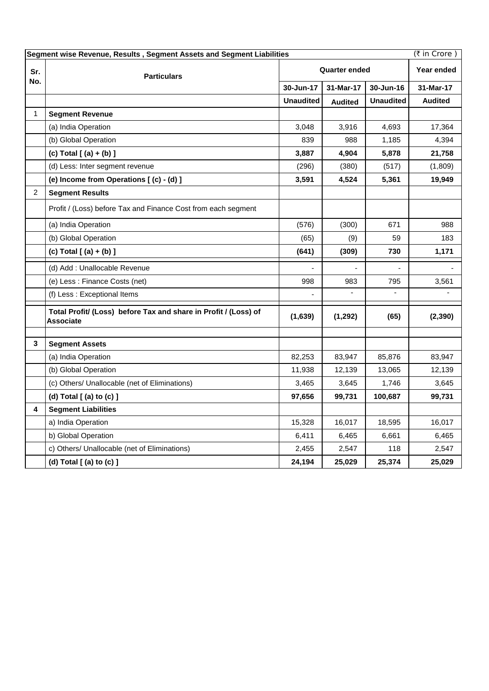| (₹ in Crore)<br>Segment wise Revenue, Results, Segment Assets and Segment Liabilities |                                                                                     |                      |                |                  |                |
|---------------------------------------------------------------------------------------|-------------------------------------------------------------------------------------|----------------------|----------------|------------------|----------------|
| Sr.<br>No.                                                                            | <b>Particulars</b>                                                                  | <b>Quarter ended</b> |                |                  | Year ended     |
|                                                                                       |                                                                                     | 30-Jun-17            | 31-Mar-17      | 30-Jun-16        | 31-Mar-17      |
|                                                                                       |                                                                                     | <b>Unaudited</b>     | <b>Audited</b> | <b>Unaudited</b> | <b>Audited</b> |
| $\mathbf{1}$                                                                          | <b>Segment Revenue</b>                                                              |                      |                |                  |                |
|                                                                                       | (a) India Operation                                                                 | 3,048                | 3,916          | 4,693            | 17,364         |
|                                                                                       | (b) Global Operation                                                                | 839                  | 988            | 1,185            | 4,394          |
|                                                                                       | (c) Total $[ (a) + (b) ]$                                                           | 3,887                | 4,904          | 5,878            | 21,758         |
|                                                                                       | (d) Less: Inter segment revenue                                                     | (296)                | (380)          | (517)            | (1,809)        |
|                                                                                       | (e) Income from Operations [(c) - (d) ]                                             | 3,591                | 4,524          | 5,361            | 19,949         |
| $\overline{2}$                                                                        | <b>Segment Results</b>                                                              |                      |                |                  |                |
|                                                                                       | Profit / (Loss) before Tax and Finance Cost from each segment                       |                      |                |                  |                |
|                                                                                       | (a) India Operation                                                                 | (576)                | (300)          | 671              | 988            |
|                                                                                       | (b) Global Operation                                                                | (65)                 | (9)            | 59               | 183            |
|                                                                                       | (c) Total $[ (a) + (b) ]$                                                           | (641)                | (309)          | 730              | 1,171          |
|                                                                                       | (d) Add : Unallocable Revenue                                                       |                      |                |                  |                |
|                                                                                       | (e) Less : Finance Costs (net)                                                      | 998                  | 983            | 795              | 3,561          |
|                                                                                       | (f) Less : Exceptional Items                                                        |                      |                |                  |                |
|                                                                                       | Total Profit/ (Loss) before Tax and share in Profit / (Loss) of<br><b>Associate</b> | (1,639)              | (1, 292)       | (65)             | (2, 390)       |
| 3                                                                                     | <b>Segment Assets</b>                                                               |                      |                |                  |                |
|                                                                                       | (a) India Operation                                                                 | 82,253               | 83,947         | 85,876           | 83,947         |
|                                                                                       | (b) Global Operation                                                                | 11,938               | 12,139         | 13,065           | 12,139         |
|                                                                                       | (c) Others/ Unallocable (net of Eliminations)                                       | 3,465                | 3,645          | 1,746            | 3,645          |
|                                                                                       | (d) Total [ (a) to (c) ]                                                            | 97,656               | 99,731         | 100,687          | 99,731         |
| 4                                                                                     | <b>Segment Liabilities</b>                                                          |                      |                |                  |                |
|                                                                                       | a) India Operation                                                                  | 15,328               | 16,017         | 18,595           | 16,017         |
|                                                                                       | b) Global Operation                                                                 | 6,411                | 6,465          | 6,661            | 6,465          |
|                                                                                       | c) Others/ Unallocable (net of Eliminations)                                        | 2,455                | 2,547          | 118              | 2,547          |
|                                                                                       | (d) Total [ (a) to (c) ]                                                            | 24,194               | 25,029         | 25,374           | 25,029         |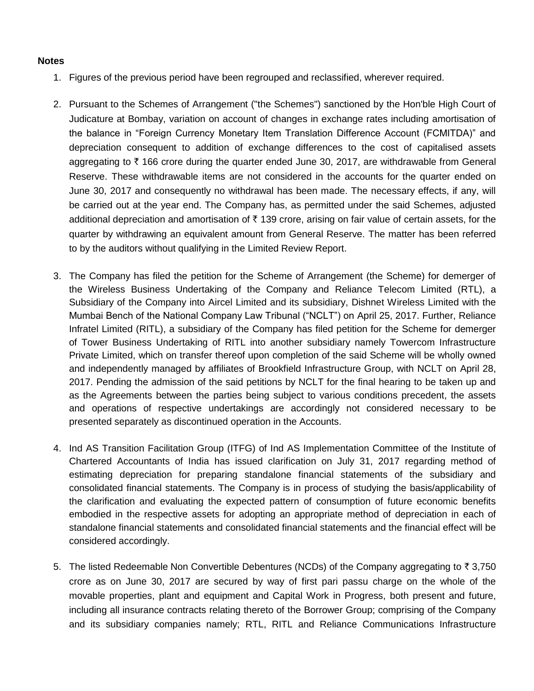## **Notes**

- 1. Figures of the previous period have been regrouped and reclassified, wherever required.
- 2. Pursuant to the Schemes of Arrangement ("the Schemes") sanctioned by the Hon'ble High Court of Judicature at Bombay, variation on account of changes in exchange rates including amortisation of the balance in "Foreign Currency Monetary Item Translation Difference Account (FCMITDA)" and depreciation consequent to addition of exchange differences to the cost of capitalised assets aggregating to  $\bar{\tau}$  166 crore during the quarter ended June 30, 2017, are withdrawable from General Reserve. These withdrawable items are not considered in the accounts for the quarter ended on June 30, 2017 and consequently no withdrawal has been made. The necessary effects, if any, will be carried out at the year end. The Company has, as permitted under the said Schemes, adjusted additional depreciation and amortisation of  $\bar{\tau}$  139 crore, arising on fair value of certain assets, for the quarter by withdrawing an equivalent amount from General Reserve. The matter has been referred to by the auditors without qualifying in the Limited Review Report.
- 3. The Company has filed the petition for the Scheme of Arrangement (the Scheme) for demerger of the Wireless Business Undertaking of the Company and Reliance Telecom Limited (RTL), a Subsidiary of the Company into Aircel Limited and its subsidiary, Dishnet Wireless Limited with the Mumbai Bench of the National Company Law Tribunal ("NCLT") on April 25, 2017. Further, Reliance Infratel Limited (RITL), a subsidiary of the Company has filed petition for the Scheme for demerger of Tower Business Undertaking of RITL into another subsidiary namely Towercom Infrastructure Private Limited, which on transfer thereof upon completion of the said Scheme will be wholly owned and independently managed by affiliates of Brookfield Infrastructure Group, with NCLT on April 28, 2017. Pending the admission of the said petitions by NCLT for the final hearing to be taken up and as the Agreements between the parties being subject to various conditions precedent, the assets and operations of respective undertakings are accordingly not considered necessary to be presented separately as discontinued operation in the Accounts.
- 4. Ind AS Transition Facilitation Group (ITFG) of Ind AS Implementation Committee of the Institute of Chartered Accountants of India has issued clarification on July 31, 2017 regarding method of estimating depreciation for preparing standalone financial statements of the subsidiary and consolidated financial statements. The Company is in process of studying the basis/applicability of the clarification and evaluating the expected pattern of consumption of future economic benefits embodied in the respective assets for adopting an appropriate method of depreciation in each of standalone financial statements and consolidated financial statements and the financial effect will be considered accordingly.
- 5. The listed Redeemable Non Convertible Debentures (NCDs) of the Company aggregating to  $\bar{z}$  3,750 crore as on June 30, 2017 are secured by way of first pari passu charge on the whole of the movable properties, plant and equipment and Capital Work in Progress, both present and future, including all insurance contracts relating thereto of the Borrower Group; comprising of the Company and its subsidiary companies namely; RTL, RITL and Reliance Communications Infrastructure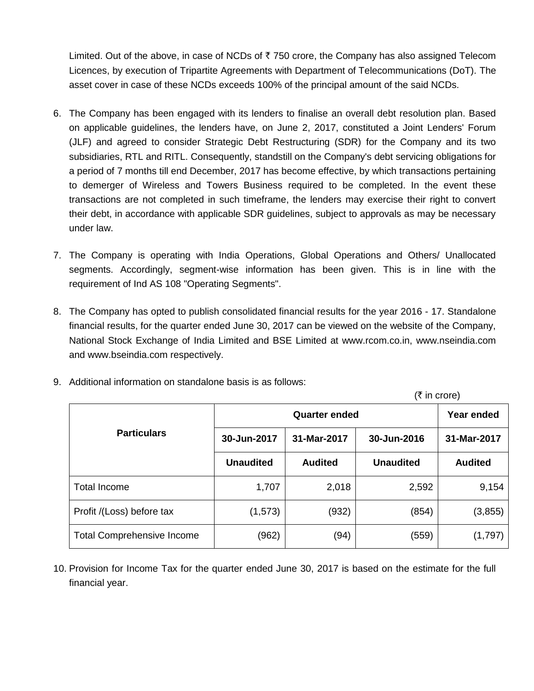Limited. Out of the above, in case of NCDs of  $\overline{z}$  750 crore, the Company has also assigned Telecom Licences, by execution of Tripartite Agreements with Department of Telecommunications (DoT). The asset cover in case of these NCDs exceeds 100% of the principal amount of the said NCDs.

- 6. The Company has been engaged with its lenders to finalise an overall debt resolution plan. Based on applicable guidelines, the lenders have, on June 2, 2017, constituted a Joint Lenders' Forum (JLF) and agreed to consider Strategic Debt Restructuring (SDR) for the Company and its two subsidiaries, RTL and RITL. Consequently, standstill on the Company's debt servicing obligations for a period of 7 months till end December, 2017 has become effective, by which transactions pertaining to demerger of Wireless and Towers Business required to be completed. In the event these transactions are not completed in such timeframe, the lenders may exercise their right to convert their debt, in accordance with applicable SDR guidelines, subject to approvals as may be necessary under law.
- 7. The Company is operating with India Operations, Global Operations and Others/ Unallocated segments. Accordingly, segment-wise information has been given. This is in line with the requirement of Ind AS 108 "Operating Segments".
- 8. The Company has opted to publish consolidated financial results for the year 2016 17. Standalone financial results, for the quarter ended June 30, 2017 can be viewed on the website of the Company, National Stock Exchange of India Limited and BSE Limited at www.rcom.co.in, www.nseindia.com and www.bseindia.com respectively.
- 9. Additional information on standalone basis is as follows:

 $(\bar{\tau}$  in crore) **Particulars Quarter ended Year ended 30-Jun-2017 31-Mar-2017 30-Jun-2016 31-Mar-2017 Unaudited Audited Unaudited Audited** Total Income 1,707 2,018 2,592 9,154 Profit /(Loss) before tax  $(1,573)$  (932) (854) (3,855) Total Comprehensive Income  $(962)$   $(94)$   $(559)$   $(1,797)$ 

10. Provision for Income Tax for the quarter ended June 30, 2017 is based on the estimate for the full financial year.